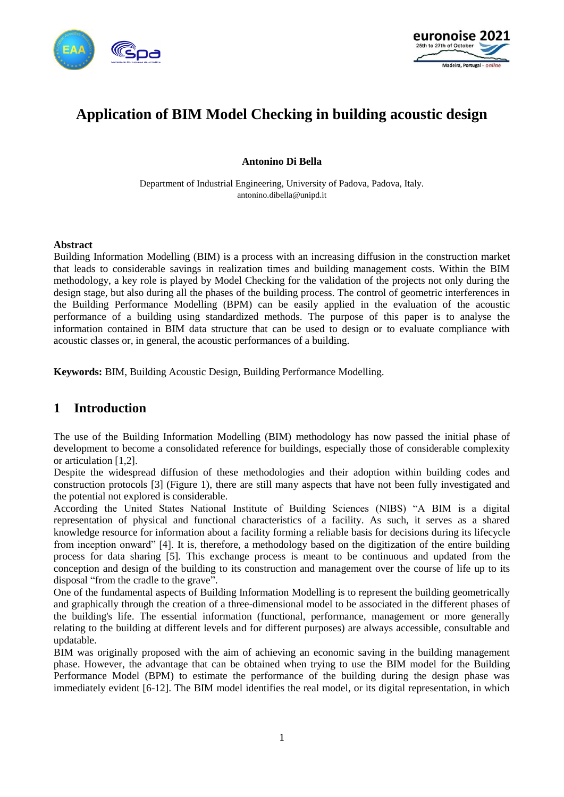



# **Application of BIM Model Checking in building acoustic design**

#### **Antonino Di Bella**

Department of Industrial Engineering, University of Padova, Padova, Italy. antonino.dibella@unipd.it

#### **Abstract**

Building Information Modelling (BIM) is a process with an increasing diffusion in the construction market that leads to considerable savings in realization times and building management costs. Within the BIM methodology, a key role is played by Model Checking for the validation of the projects not only during the design stage, but also during all the phases of the building process. The control of geometric interferences in the Building Performance Modelling (BPM) can be easily applied in the evaluation of the acoustic performance of a building using standardized methods. The purpose of this paper is to analyse the information contained in BIM data structure that can be used to design or to evaluate compliance with acoustic classes or, in general, the acoustic performances of a building.

**Keywords:** BIM, Building Acoustic Design, Building Performance Modelling.

### **1 Introduction**

The use of the Building Information Modelling (BIM) methodology has now passed the initial phase of development to become a consolidated reference for buildings, especially those of considerable complexity or articulation [1,2].

Despite the widespread diffusion of these methodologies and their adoption within building codes and construction protocols [3] (Figure 1), there are still many aspects that have not been fully investigated and the potential not explored is considerable.

According the United States National Institute of Building Sciences (NIBS) "A BIM is a digital representation of physical and functional characteristics of a facility. As such, it serves as a shared knowledge resource for information about a facility forming a reliable basis for decisions during its lifecycle from inception onward" [4]. It is, therefore, a methodology based on the digitization of the entire building process for data sharing [5]. This exchange process is meant to be continuous and updated from the conception and design of the building to its construction and management over the course of life up to its disposal "from the cradle to the grave".

One of the fundamental aspects of Building Information Modelling is to represent the building geometrically and graphically through the creation of a three-dimensional model to be associated in the different phases of the building's life. The essential information (functional, performance, management or more generally relating to the building at different levels and for different purposes) are always accessible, consultable and updatable.

BIM was originally proposed with the aim of achieving an economic saving in the building management phase. However, the advantage that can be obtained when trying to use the BIM model for the Building Performance Model (BPM) to estimate the performance of the building during the design phase was immediately evident [6-12]. The BIM model identifies the real model, or its digital representation, in which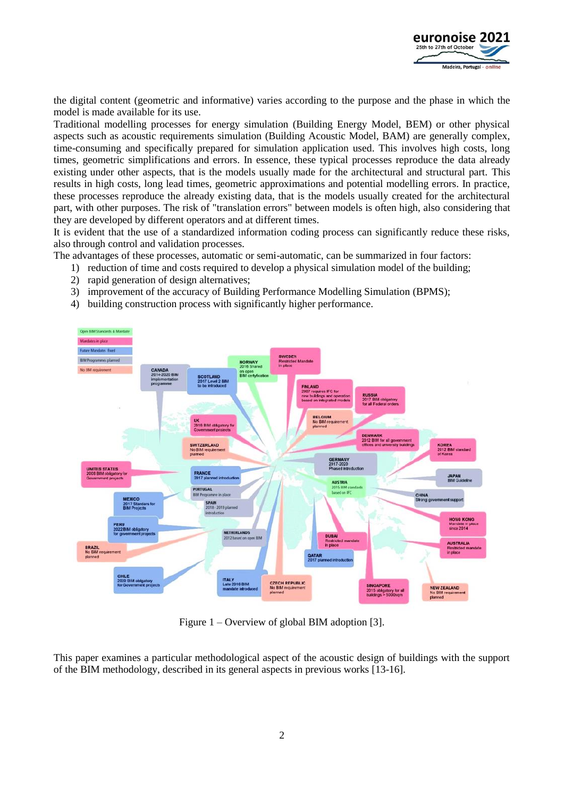

the digital content (geometric and informative) varies according to the purpose and the phase in which the model is made available for its use.

Traditional modelling processes for energy simulation (Building Energy Model, BEM) or other physical aspects such as acoustic requirements simulation (Building Acoustic Model, BAM) are generally complex, time-consuming and specifically prepared for simulation application used. This involves high costs, long times, geometric simplifications and errors. In essence, these typical processes reproduce the data already existing under other aspects, that is the models usually made for the architectural and structural part. This results in high costs, long lead times, geometric approximations and potential modelling errors. In practice, these processes reproduce the already existing data, that is the models usually created for the architectural part, with other purposes. The risk of "translation errors" between models is often high, also considering that they are developed by different operators and at different times.

It is evident that the use of a standardized information coding process can significantly reduce these risks, also through control and validation processes.

The advantages of these processes, automatic or semi-automatic, can be summarized in four factors:

- 1) reduction of time and costs required to develop a physical simulation model of the building;
- 2) rapid generation of design alternatives;
- 3) improvement of the accuracy of Building Performance Modelling Simulation (BPMS);
- 4) building construction process with significantly higher performance.



Figure 1 – Overview of global BIM adoption [3].

This paper examines a particular methodological aspect of the acoustic design of buildings with the support of the BIM methodology, described in its general aspects in previous works [13-16].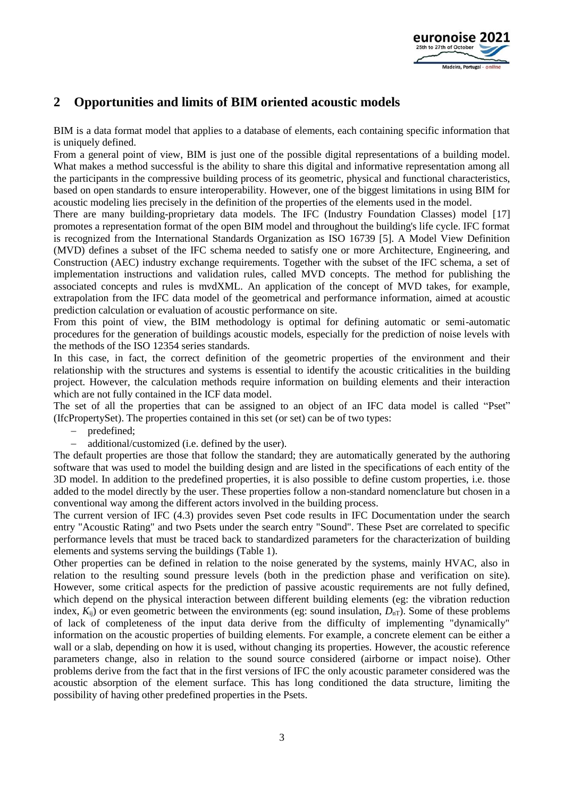

## **2 Opportunities and limits of BIM oriented acoustic models**

BIM is a data format model that applies to a database of elements, each containing specific information that is uniquely defined.

From a general point of view, BIM is just one of the possible digital representations of a building model. What makes a method successful is the ability to share this digital and informative representation among all the participants in the compressive building process of its geometric, physical and functional characteristics, based on open standards to ensure interoperability. However, one of the biggest limitations in using BIM for acoustic modeling lies precisely in the definition of the properties of the elements used in the model.

There are many building-proprietary data models. The IFC (Industry Foundation Classes) model [17] promotes a representation format of the open BIM model and throughout the building's life cycle. IFC format is recognized from the International Standards Organization as ISO 16739 [5]. A Model View Definition (MVD) defines a subset of the IFC schema needed to satisfy one or more Architecture, Engineering, and Construction (AEC) industry exchange requirements. Together with the subset of the IFC schema, a set of implementation instructions and validation rules, called MVD concepts. The method for publishing the associated concepts and rules is mvdXML. An application of the concept of MVD takes, for example, extrapolation from the IFC data model of the geometrical and performance information, aimed at acoustic prediction calculation or evaluation of acoustic performance on site.

From this point of view, the BIM methodology is optimal for defining automatic or semi-automatic procedures for the generation of buildings acoustic models, especially for the prediction of noise levels with the methods of the ISO 12354 series standards.

In this case, in fact, the correct definition of the geometric properties of the environment and their relationship with the structures and systems is essential to identify the acoustic criticalities in the building project. However, the calculation methods require information on building elements and their interaction which are not fully contained in the ICF data model.

The set of all the properties that can be assigned to an object of an IFC data model is called "Pset" (IfcPropertySet). The properties contained in this set (or set) can be of two types:

- − predefined;
- − additional/customized (i.e. defined by the user).

The default properties are those that follow the standard; they are automatically generated by the authoring software that was used to model the building design and are listed in the specifications of each entity of the 3D model. In addition to the predefined properties, it is also possible to define custom properties, i.e. those added to the model directly by the user. These properties follow a non-standard nomenclature but chosen in a conventional way among the different actors involved in the building process.

The current version of IFC (4.3) provides seven Pset code results in IFC Documentation under the search entry "Acoustic Rating" and two Psets under the search entry "Sound". These Pset are correlated to specific performance levels that must be traced back to standardized parameters for the characterization of building elements and systems serving the buildings (Table 1).

Other properties can be defined in relation to the noise generated by the systems, mainly HVAC, also in relation to the resulting sound pressure levels (both in the prediction phase and verification on site). However, some critical aspects for the prediction of passive acoustic requirements are not fully defined, which depend on the physical interaction between different building elements (eg: the vibration reduction index,  $K_{ii}$ ) or even geometric between the environments (eg: sound insulation,  $D_{nT}$ ). Some of these problems of lack of completeness of the input data derive from the difficulty of implementing "dynamically" information on the acoustic properties of building elements. For example, a concrete element can be either a wall or a slab, depending on how it is used, without changing its properties. However, the acoustic reference parameters change, also in relation to the sound source considered (airborne or impact noise). Other problems derive from the fact that in the first versions of IFC the only acoustic parameter considered was the acoustic absorption of the element surface. This has long conditioned the data structure, limiting the possibility of having other predefined properties in the Psets.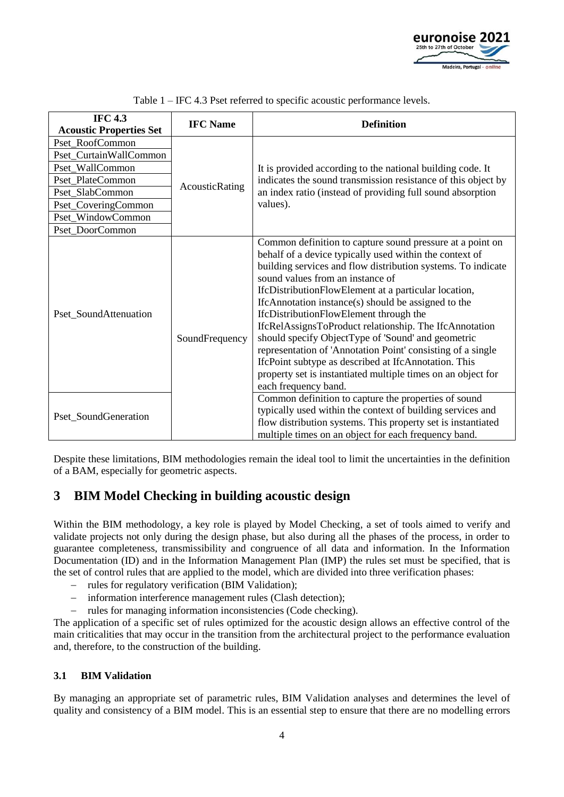

| <b>IFC 4.3</b>                 | <b>IFC Name</b> | <b>Definition</b>                                                                                                                                                                                                                                                                                                                                                                                                                                                                                                                                                                                                                                                                                                 |
|--------------------------------|-----------------|-------------------------------------------------------------------------------------------------------------------------------------------------------------------------------------------------------------------------------------------------------------------------------------------------------------------------------------------------------------------------------------------------------------------------------------------------------------------------------------------------------------------------------------------------------------------------------------------------------------------------------------------------------------------------------------------------------------------|
| <b>Acoustic Properties Set</b> |                 |                                                                                                                                                                                                                                                                                                                                                                                                                                                                                                                                                                                                                                                                                                                   |
| Pset RoofCommon                | AcousticRating  | It is provided according to the national building code. It<br>indicates the sound transmission resistance of this object by<br>an index ratio (instead of providing full sound absorption<br>values).                                                                                                                                                                                                                                                                                                                                                                                                                                                                                                             |
| Pset_CurtainWallCommon         |                 |                                                                                                                                                                                                                                                                                                                                                                                                                                                                                                                                                                                                                                                                                                                   |
| Pset_WallCommon                |                 |                                                                                                                                                                                                                                                                                                                                                                                                                                                                                                                                                                                                                                                                                                                   |
| Pset_PlateCommon               |                 |                                                                                                                                                                                                                                                                                                                                                                                                                                                                                                                                                                                                                                                                                                                   |
| Pset_SlabCommon                |                 |                                                                                                                                                                                                                                                                                                                                                                                                                                                                                                                                                                                                                                                                                                                   |
| Pset_CoveringCommon            |                 |                                                                                                                                                                                                                                                                                                                                                                                                                                                                                                                                                                                                                                                                                                                   |
| Pset_WindowCommon              |                 |                                                                                                                                                                                                                                                                                                                                                                                                                                                                                                                                                                                                                                                                                                                   |
| Pset_DoorCommon                |                 |                                                                                                                                                                                                                                                                                                                                                                                                                                                                                                                                                                                                                                                                                                                   |
| Pset_SoundAttenuation          | SoundFrequency  | Common definition to capture sound pressure at a point on<br>behalf of a device typically used within the context of<br>building services and flow distribution systems. To indicate<br>sound values from an instance of<br>IfcDistributionFlowElement at a particular location,<br>If cAnnotation instance(s) should be assigned to the<br>IfcDistributionFlowElement through the<br>IfcRelAssignsToProduct relationship. The IfcAnnotation<br>should specify ObjectType of 'Sound' and geometric<br>representation of 'Annotation Point' consisting of a single<br>IfcPoint subtype as described at IfcAnnotation. This<br>property set is instantiated multiple times on an object for<br>each frequency band. |
| Pset_SoundGeneration           |                 | Common definition to capture the properties of sound<br>typically used within the context of building services and<br>flow distribution systems. This property set is instantiated<br>multiple times on an object for each frequency band.                                                                                                                                                                                                                                                                                                                                                                                                                                                                        |

Table 1 – IFC 4.3 Pset referred to specific acoustic performance levels.

Despite these limitations, BIM methodologies remain the ideal tool to limit the uncertainties in the definition of a BAM, especially for geometric aspects.

### **3 BIM Model Checking in building acoustic design**

Within the BIM methodology, a key role is played by Model Checking, a set of tools aimed to verify and validate projects not only during the design phase, but also during all the phases of the process, in order to guarantee completeness, transmissibility and congruence of all data and information. In the Information Documentation (ID) and in the Information Management Plan (IMP) the rules set must be specified, that is the set of control rules that are applied to the model, which are divided into three verification phases:

- − rules for regulatory verification (BIM Validation);
- − information interference management rules (Clash detection);
- − rules for managing information inconsistencies (Code checking).

The application of a specific set of rules optimized for the acoustic design allows an effective control of the main criticalities that may occur in the transition from the architectural project to the performance evaluation and, therefore, to the construction of the building.

#### **3.1 BIM Validation**

By managing an appropriate set of parametric rules, BIM Validation analyses and determines the level of quality and consistency of a BIM model. This is an essential step to ensure that there are no modelling errors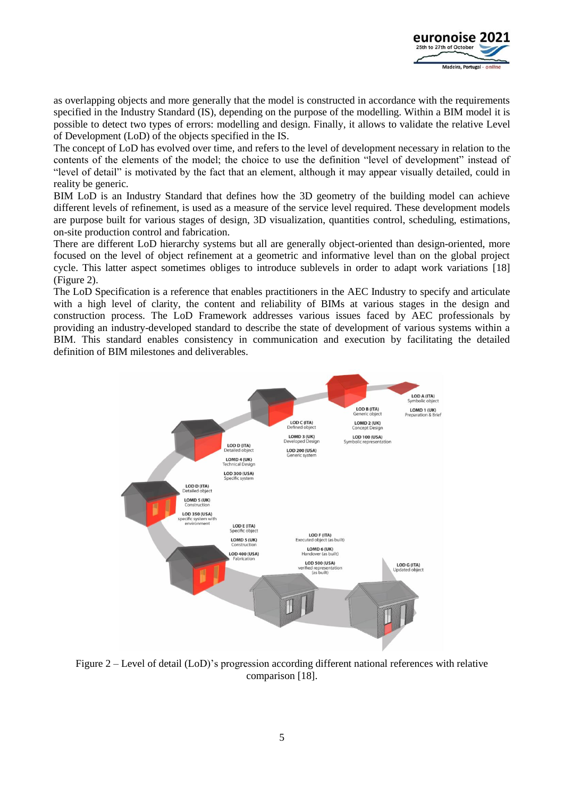

as overlapping objects and more generally that the model is constructed in accordance with the requirements specified in the Industry Standard (IS), depending on the purpose of the modelling. Within a BIM model it is possible to detect two types of errors: modelling and design. Finally, it allows to validate the relative Level of Development (LoD) of the objects specified in the IS.

The concept of LoD has evolved over time, and refers to the level of development necessary in relation to the contents of the elements of the model; the choice to use the definition "level of development" instead of "level of detail" is motivated by the fact that an element, although it may appear visually detailed, could in reality be generic.

BIM LoD is an Industry Standard that defines how the 3D geometry of the building model can achieve different levels of refinement, is used as a measure of the service level required. These development models are purpose built for various stages of design, 3D visualization, quantities control, scheduling, estimations, on-site production control and fabrication.

There are different LoD hierarchy systems but all are generally object-oriented than design-oriented, more focused on the level of object refinement at a geometric and informative level than on the global project cycle. This latter aspect sometimes obliges to introduce sublevels in order to adapt work variations [18] (Figure 2).

The LoD Specification is a reference that enables practitioners in the AEC Industry to specify and articulate with a high level of clarity, the content and reliability of BIMs at various stages in the design and construction process. The LoD Framework addresses various issues faced by AEC professionals by providing an industry-developed standard to describe the state of development of various systems within a BIM. This standard enables consistency in communication and execution by facilitating the detailed definition of BIM milestones and deliverables.



Figure 2 – Level of detail (LoD)'s progression according different national references with relative comparison [18].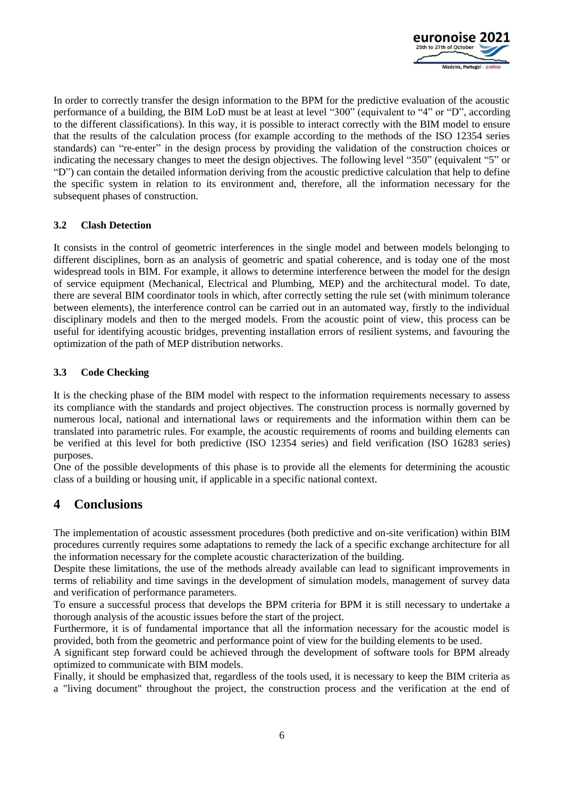

In order to correctly transfer the design information to the BPM for the predictive evaluation of the acoustic performance of a building, the BIM LoD must be at least at level "300" (equivalent to "4" or "D", according to the different classifications). In this way, it is possible to interact correctly with the BIM model to ensure that the results of the calculation process (for example according to the methods of the ISO 12354 series standards) can "re-enter" in the design process by providing the validation of the construction choices or indicating the necessary changes to meet the design objectives. The following level "350" (equivalent "5" or "D") can contain the detailed information deriving from the acoustic predictive calculation that help to define the specific system in relation to its environment and, therefore, all the information necessary for the subsequent phases of construction.

#### **3.2 Clash Detection**

It consists in the control of geometric interferences in the single model and between models belonging to different disciplines, born as an analysis of geometric and spatial coherence, and is today one of the most widespread tools in BIM. For example, it allows to determine interference between the model for the design of service equipment (Mechanical, Electrical and Plumbing, MEP) and the architectural model. To date, there are several BIM coordinator tools in which, after correctly setting the rule set (with minimum tolerance between elements), the interference control can be carried out in an automated way, firstly to the individual disciplinary models and then to the merged models. From the acoustic point of view, this process can be useful for identifying acoustic bridges, preventing installation errors of resilient systems, and favouring the optimization of the path of MEP distribution networks.

#### **3.3 Code Checking**

It is the checking phase of the BIM model with respect to the information requirements necessary to assess its compliance with the standards and project objectives. The construction process is normally governed by numerous local, national and international laws or requirements and the information within them can be translated into parametric rules. For example, the acoustic requirements of rooms and building elements can be verified at this level for both predictive (ISO 12354 series) and field verification (ISO 16283 series) purposes.

One of the possible developments of this phase is to provide all the elements for determining the acoustic class of a building or housing unit, if applicable in a specific national context.

### **4 Conclusions**

The implementation of acoustic assessment procedures (both predictive and on-site verification) within BIM procedures currently requires some adaptations to remedy the lack of a specific exchange architecture for all the information necessary for the complete acoustic characterization of the building.

Despite these limitations, the use of the methods already available can lead to significant improvements in terms of reliability and time savings in the development of simulation models, management of survey data and verification of performance parameters.

To ensure a successful process that develops the BPM criteria for BPM it is still necessary to undertake a thorough analysis of the acoustic issues before the start of the project.

Furthermore, it is of fundamental importance that all the information necessary for the acoustic model is provided, both from the geometric and performance point of view for the building elements to be used.

A significant step forward could be achieved through the development of software tools for BPM already optimized to communicate with BIM models.

Finally, it should be emphasized that, regardless of the tools used, it is necessary to keep the BIM criteria as a "living document" throughout the project, the construction process and the verification at the end of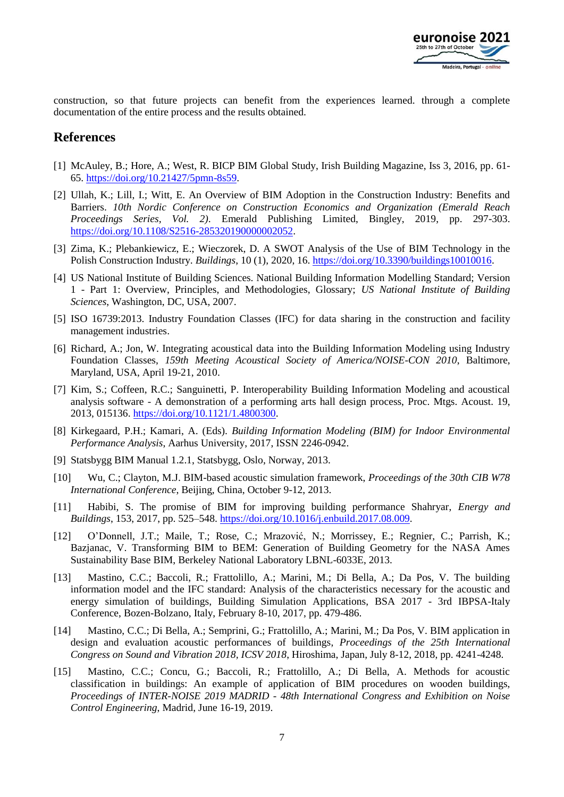

construction, so that future projects can benefit from the experiences learned. through a complete documentation of the entire process and the results obtained.

### **References**

- [1] McAuley, B.; Hore, A.; West, R. BICP BIM Global Study, Irish Building Magazine, Iss 3, 2016, pp. 61- 65. [https://doi.org/10.21427/5pmn-8s59.](https://doi.org/10.21427/5pmn-8s59)
- [2] Ullah, K.; Lill, I.; Witt, E. An Overview of BIM Adoption in the Construction Industry: Benefits and Barriers. *10th Nordic Conference on Construction Economics and Organization (Emerald Reach Proceedings Series, Vol. 2)*. Emerald Publishing Limited, Bingley, 2019, pp. 297-303. [https://doi.org/10.1108/S2516-285320190000002052.](https://doi.org/10.1108/S2516-285320190000002052)
- [3] Zima, K.; Plebankiewicz, E.; Wieczorek, D. A SWOT Analysis of the Use of BIM Technology in the Polish Construction Industry. *Buildings*, 10 (1), 2020, 16. [https://doi.org/10.3390/buildings10010016.](https://doi.org/10.3390/buildings10010016)
- [4] US National Institute of Building Sciences. National Building Information Modelling Standard; Version 1 - Part 1: Overview, Principles, and Methodologies, Glossary; *US National Institute of Building Sciences*, Washington, DC, USA, 2007.
- [5] ISO 16739:2013. Industry Foundation Classes (IFC) for data sharing in the construction and facility management industries.
- [6] Richard, A.; Jon, W. Integrating acoustical data into the Building Information Modeling using Industry Foundation Classes, *159th Meeting Acoustical Society of America/NOISE-CON 2010*, Baltimore, Maryland, USA, April 19-21, 2010.
- [7] Kim, S.; Coffeen, R.C.; Sanguinetti, P. Interoperability Building Information Modeling and acoustical analysis software - A demonstration of a performing arts hall design process, Proc. Mtgs. Acoust. 19, 2013, 015136. [https://doi.org/10.1121/1.4800300.](https://doi.org/10.1121/1.4800300)
- [8] Kirkegaard, P.H.; Kamari, A. (Eds). *Building Information Modeling (BIM) for Indoor Environmental Performance Analysis*, Aarhus University, 2017, ISSN 2246-0942.
- [9] Statsbygg BIM Manual 1.2.1, Statsbygg, Oslo, Norway, 2013.
- [10] Wu, C.; Clayton, M.J. BIM-based acoustic simulation framework, *Proceedings of the 30th CIB W78 International Conference*, Beijing, China, October 9-12, 2013.
- [11] Habibi, S. The promise of BIM for improving building performance Shahryar, *Energy and Buildings*, 153, 2017, pp. 525–548. [https://doi.org/10.1016/j.enbuild.2017.08.009.](https://doi.org/10.1016/j.enbuild.2017.08.009)
- [12] O'Donnell, J.T.; Maile, T.; Rose, C.; Mrazović, N.; Morrissey, E.; Regnier, C.; Parrish, K.; Bazjanac, V. Transforming BIM to BEM: Generation of Building Geometry for the NASA Ames Sustainability Base BIM, Berkeley National Laboratory LBNL-6033E, 2013.
- [13] Mastino, C.C.; Baccoli, R.; Frattolillo, A.; Marini, M.; Di Bella, A.; Da Pos, V. The building information model and the IFC standard: Analysis of the characteristics necessary for the acoustic and energy simulation of buildings, Building Simulation Applications, BSA 2017 - 3rd IBPSA-Italy Conference, Bozen-Bolzano, Italy, February 8-10, 2017, pp. 479-486.
- [14] Mastino, C.C.; Di Bella, A.; Semprini, G.; Frattolillo, A.; Marini, M.; Da Pos, V. BIM application in design and evaluation acoustic performances of buildings, *Proceedings of the 25th International Congress on Sound and Vibration 2018, ICSV 2018*, Hiroshima, Japan, July 8-12, 2018, pp. 4241-4248.
- [15] Mastino, C.C.; Concu, G.; Baccoli, R.; Frattolillo, A.; Di Bella, A. Methods for acoustic classification in buildings: An example of application of BIM procedures on wooden buildings, *Proceedings of INTER-NOISE 2019 MADRID - 48th International Congress and Exhibition on Noise Control Engineering*, Madrid, June 16-19, 2019.